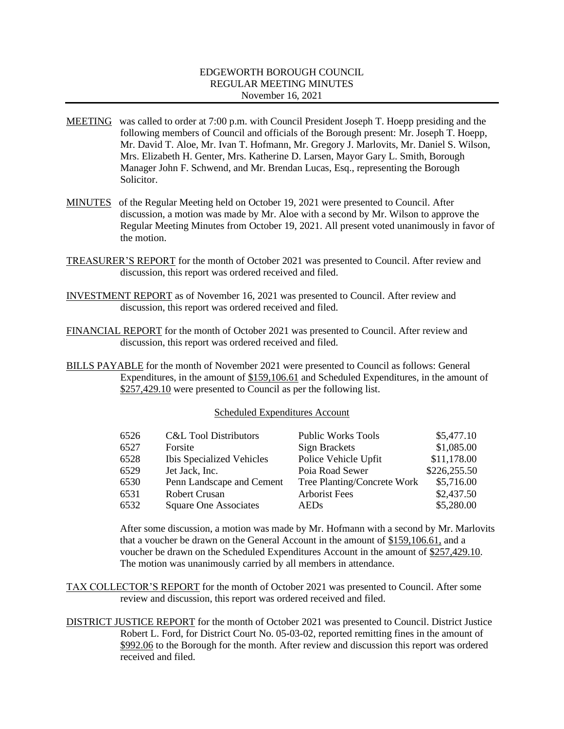### EDGEWORTH BOROUGH COUNCIL REGULAR MEETING MINUTES November 16, 2021

- MEETING was called to order at 7:00 p.m. with Council President Joseph T. Hoepp presiding and the following members of Council and officials of the Borough present: Mr. Joseph T. Hoepp, Mr. David T. Aloe, Mr. Ivan T. Hofmann, Mr. Gregory J. Marlovits, Mr. Daniel S. Wilson, Mrs. Elizabeth H. Genter, Mrs. Katherine D. Larsen, Mayor Gary L. Smith, Borough Manager John F. Schwend, and Mr. Brendan Lucas, Esq., representing the Borough Solicitor.
- MINUTES of the Regular Meeting held on October 19, 2021 were presented to Council. After discussion, a motion was made by Mr. Aloe with a second by Mr. Wilson to approve the Regular Meeting Minutes from October 19, 2021. All present voted unanimously in favor of the motion.
- TREASURER'S REPORT for the month of October 2021 was presented to Council. After review and discussion, this report was ordered received and filed.
- INVESTMENT REPORT as of November 16, 2021 was presented to Council. After review and discussion, this report was ordered received and filed.
- FINANCIAL REPORT for the month of October 2021 was presented to Council. After review and discussion, this report was ordered received and filed.
- BILLS PAYABLE for the month of November 2021 were presented to Council as follows: General Expenditures, in the amount of \$159,106.61 and Scheduled Expenditures, in the amount of \$257,429.10 were presented to Council as per the following list.

#### Scheduled Expenditures Account

| <b>C&amp;L Tool Distributors</b> | <b>Public Works Tools</b>   | \$5,477.10   |
|----------------------------------|-----------------------------|--------------|
| Forsite                          | <b>Sign Brackets</b>        | \$1,085.00   |
| <b>Ibis Specialized Vehicles</b> | Police Vehicle Upfit        | \$11,178.00  |
| Jet Jack, Inc.                   | Poia Road Sewer             | \$226,255.50 |
| Penn Landscape and Cement        | Tree Planting/Concrete Work | \$5,716.00   |
| <b>Robert Crusan</b>             | <b>Arborist Fees</b>        | \$2,437.50   |
| Square One Associates            | <b>AEDs</b>                 | \$5,280.00   |
|                                  |                             |              |

After some discussion, a motion was made by Mr. Hofmann with a second by Mr. Marlovits that a voucher be drawn on the General Account in the amount of \$159,106.61, and a voucher be drawn on the Scheduled Expenditures Account in the amount of \$257,429.10. The motion was unanimously carried by all members in attendance.

TAX COLLECTOR'S REPORT for the month of October 2021 was presented to Council. After some review and discussion, this report was ordered received and filed.

DISTRICT JUSTICE REPORT for the month of October 2021 was presented to Council. District Justice Robert L. Ford, for District Court No. 05-03-02, reported remitting fines in the amount of \$992.06 to the Borough for the month. After review and discussion this report was ordered received and filed.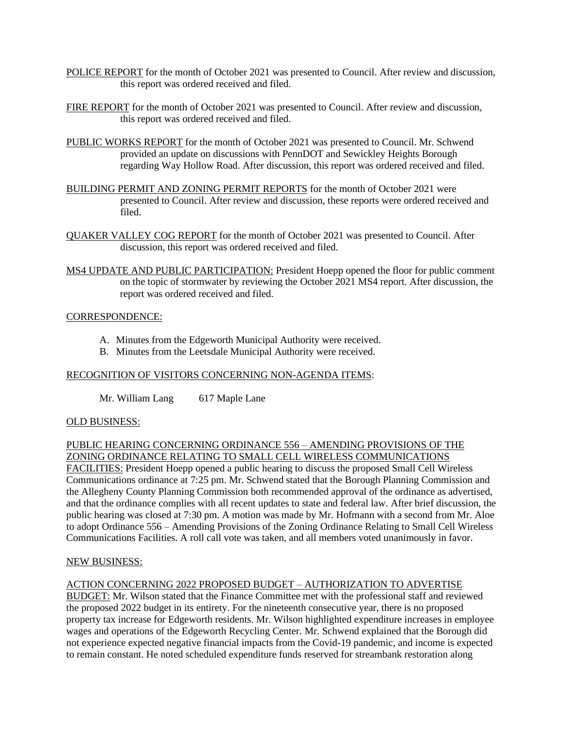- POLICE REPORT for the month of October 2021 was presented to Council. After review and discussion, this report was ordered received and filed.
- FIRE REPORT for the month of October 2021 was presented to Council. After review and discussion, this report was ordered received and filed.
- PUBLIC WORKS REPORT for the month of October 2021 was presented to Council. Mr. Schwend provided an update on discussions with PennDOT and Sewickley Heights Borough regarding Way Hollow Road. After discussion, this report was ordered received and filed.
- BUILDING PERMIT AND ZONING PERMIT REPORTS for the month of October 2021 were presented to Council. After review and discussion, these reports were ordered received and filed.
- QUAKER VALLEY COG REPORT for the month of October 2021 was presented to Council. After discussion, this report was ordered received and filed.
- MS4 UPDATE AND PUBLIC PARTICIPATION: President Hoepp opened the floor for public comment on the topic of stormwater by reviewing the October 2021 MS4 report. After discussion, the report was ordered received and filed.

### CORRESPONDENCE:

- A. Minutes from the Edgeworth Municipal Authority were received.
- B. Minutes from the Leetsdale Municipal Authority were received.

## RECOGNITION OF VISITORS CONCERNING NON-AGENDA ITEMS:

Mr. William Lang 617 Maple Lane

### OLD BUSINESS:

### PUBLIC HEARING CONCERNING ORDINANCE 556 – AMENDING PROVISIONS OF THE ZONING ORDINANCE RELATING TO SMALL CELL WIRELESS COMMUNICATIONS

FACILITIES: President Hoepp opened a public hearing to discuss the proposed Small Cell Wireless Communications ordinance at 7:25 pm. Mr. Schwend stated that the Borough Planning Commission and the Allegheny County Planning Commission both recommended approval of the ordinance as advertised, and that the ordinance complies with all recent updates to state and federal law. After brief discussion, the public hearing was closed at 7:30 pm. A motion was made by Mr. Hofmann with a second from Mr. Aloe to adopt Ordinance 556 – Amending Provisions of the Zoning Ordinance Relating to Small Cell Wireless Communications Facilities. A roll call vote was taken, and all members voted unanimously in favor.

### NEW BUSINESS:

### ACTION CONCERNING 2022 PROPOSED BUDGET – AUTHORIZATION TO ADVERTISE

BUDGET: Mr. Wilson stated that the Finance Committee met with the professional staff and reviewed the proposed 2022 budget in its entirety. For the nineteenth consecutive year, there is no proposed property tax increase for Edgeworth residents. Mr. Wilson highlighted expenditure increases in employee wages and operations of the Edgeworth Recycling Center. Mr. Schwend explained that the Borough did not experience expected negative financial impacts from the Covid-19 pandemic, and income is expected to remain constant. He noted scheduled expenditure funds reserved for streambank restoration along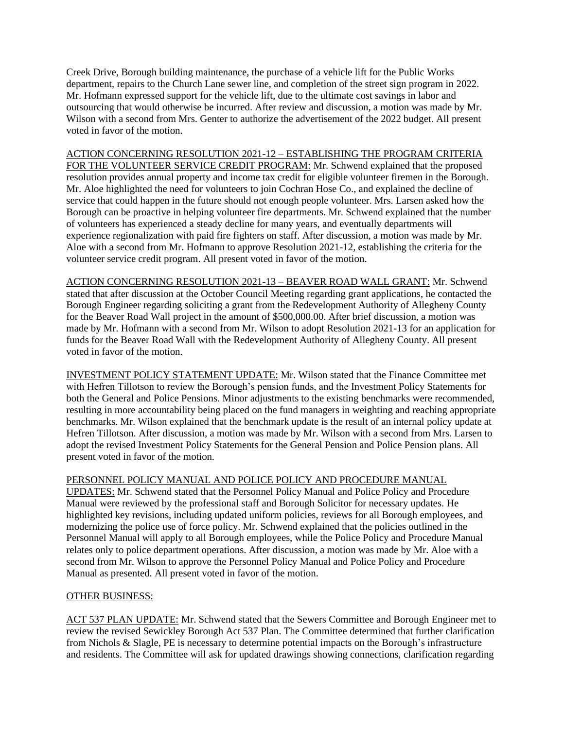Creek Drive, Borough building maintenance, the purchase of a vehicle lift for the Public Works department, repairs to the Church Lane sewer line, and completion of the street sign program in 2022. Mr. Hofmann expressed support for the vehicle lift, due to the ultimate cost savings in labor and outsourcing that would otherwise be incurred. After review and discussion, a motion was made by Mr. Wilson with a second from Mrs. Genter to authorize the advertisement of the 2022 budget. All present voted in favor of the motion.

ACTION CONCERNING RESOLUTION 2021-12 – ESTABLISHING THE PROGRAM CRITERIA FOR THE VOLUNTEER SERVICE CREDIT PROGRAM: Mr. Schwend explained that the proposed resolution provides annual property and income tax credit for eligible volunteer firemen in the Borough. Mr. Aloe highlighted the need for volunteers to join Cochran Hose Co., and explained the decline of service that could happen in the future should not enough people volunteer. Mrs. Larsen asked how the Borough can be proactive in helping volunteer fire departments. Mr. Schwend explained that the number of volunteers has experienced a steady decline for many years, and eventually departments will experience regionalization with paid fire fighters on staff. After discussion, a motion was made by Mr. Aloe with a second from Mr. Hofmann to approve Resolution 2021-12, establishing the criteria for the volunteer service credit program. All present voted in favor of the motion.

ACTION CONCERNING RESOLUTION 2021-13 – BEAVER ROAD WALL GRANT: Mr. Schwend stated that after discussion at the October Council Meeting regarding grant applications, he contacted the Borough Engineer regarding soliciting a grant from the Redevelopment Authority of Allegheny County for the Beaver Road Wall project in the amount of \$500,000.00. After brief discussion, a motion was made by Mr. Hofmann with a second from Mr. Wilson to adopt Resolution 2021-13 for an application for funds for the Beaver Road Wall with the Redevelopment Authority of Allegheny County. All present voted in favor of the motion.

INVESTMENT POLICY STATEMENT UPDATE: Mr. Wilson stated that the Finance Committee met with Hefren Tillotson to review the Borough's pension funds, and the Investment Policy Statements for both the General and Police Pensions. Minor adjustments to the existing benchmarks were recommended, resulting in more accountability being placed on the fund managers in weighting and reaching appropriate benchmarks. Mr. Wilson explained that the benchmark update is the result of an internal policy update at Hefren Tillotson. After discussion, a motion was made by Mr. Wilson with a second from Mrs. Larsen to adopt the revised Investment Policy Statements for the General Pension and Police Pension plans. All present voted in favor of the motion.

# PERSONNEL POLICY MANUAL AND POLICE POLICY AND PROCEDURE MANUAL

UPDATES: Mr. Schwend stated that the Personnel Policy Manual and Police Policy and Procedure Manual were reviewed by the professional staff and Borough Solicitor for necessary updates. He highlighted key revisions, including updated uniform policies, reviews for all Borough employees, and modernizing the police use of force policy. Mr. Schwend explained that the policies outlined in the Personnel Manual will apply to all Borough employees, while the Police Policy and Procedure Manual relates only to police department operations. After discussion, a motion was made by Mr. Aloe with a second from Mr. Wilson to approve the Personnel Policy Manual and Police Policy and Procedure Manual as presented. All present voted in favor of the motion.

### OTHER BUSINESS:

ACT 537 PLAN UPDATE: Mr. Schwend stated that the Sewers Committee and Borough Engineer met to review the revised Sewickley Borough Act 537 Plan. The Committee determined that further clarification from Nichols & Slagle, PE is necessary to determine potential impacts on the Borough's infrastructure and residents. The Committee will ask for updated drawings showing connections, clarification regarding